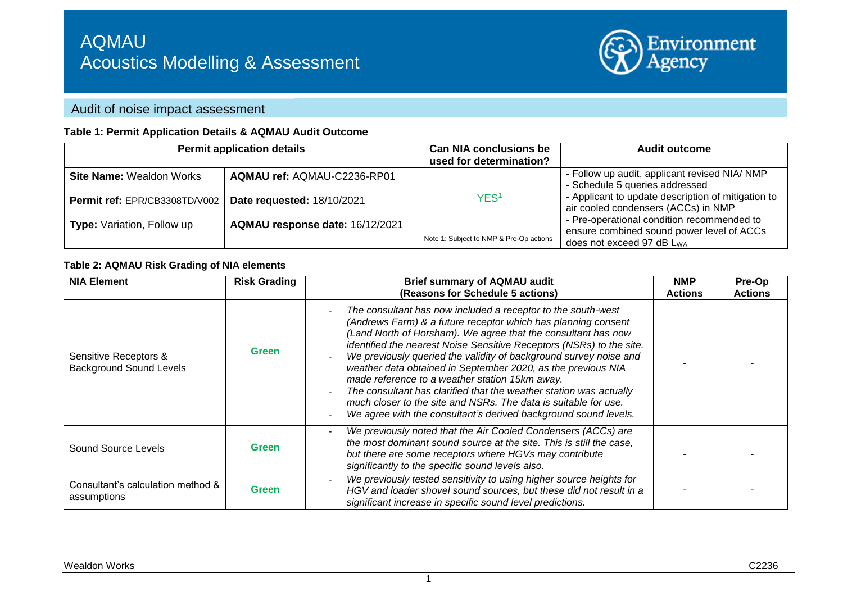

# Audit of noise impact assessment

#### **Table 1: Permit Application Details & AQMAU Audit Outcome**

|                                   | <b>Permit application details</b> | <b>Can NIA conclusions be</b>           | <b>Audit outcome</b>                                                                                                        |
|-----------------------------------|-----------------------------------|-----------------------------------------|-----------------------------------------------------------------------------------------------------------------------------|
|                                   |                                   | used for determination?                 |                                                                                                                             |
| <b>Site Name: Wealdon Works</b>   | AQMAU ref: AQMAU-C2236-RP01       |                                         | - Follow up audit, applicant revised NIA/ NMP                                                                               |
| Permit ref: EPR/CB3308TD/V002     | Date requested: 18/10/2021        | YES <sup>1</sup>                        | - Schedule 5 queries addressed<br>- Applicant to update description of mitigation to<br>air cooled condensers (ACCs) in NMP |
| <b>Type:</b> Variation, Follow up | AQMAU response date: 16/12/2021   |                                         | - Pre-operational condition recommended to<br>ensure combined sound power level of ACCs                                     |
|                                   |                                   | Note 1: Subject to NMP & Pre-Op actions | does not exceed 97 dB L <sub>WA</sub>                                                                                       |

#### **Table 2: AQMAU Risk Grading of NIA elements**

| <b>NIA Element</b>                                      | <b>Risk Grading</b> | <b>Brief summary of AQMAU audit</b><br>(Reasons for Schedule 5 actions)                                                                                                                                                                                                                                                                                                                                                                                                                                                                                                                                                                                                   | <b>NMP</b><br><b>Actions</b> | Pre-Op<br><b>Actions</b> |
|---------------------------------------------------------|---------------------|---------------------------------------------------------------------------------------------------------------------------------------------------------------------------------------------------------------------------------------------------------------------------------------------------------------------------------------------------------------------------------------------------------------------------------------------------------------------------------------------------------------------------------------------------------------------------------------------------------------------------------------------------------------------------|------------------------------|--------------------------|
| Sensitive Receptors &<br><b>Background Sound Levels</b> | <b>Green</b>        | The consultant has now included a receptor to the south-west<br>(Andrews Farm) & a future receptor which has planning consent<br>(Land North of Horsham). We agree that the consultant has now<br>identified the nearest Noise Sensitive Receptors (NSRs) to the site.<br>We previously queried the validity of background survey noise and<br>weather data obtained in September 2020, as the previous NIA<br>made reference to a weather station 15km away.<br>The consultant has clarified that the weather station was actually<br>much closer to the site and NSRs. The data is suitable for use.<br>We agree with the consultant's derived background sound levels. |                              |                          |
| Sound Source Levels                                     | <b>Green</b>        | We previously noted that the Air Cooled Condensers (ACCs) are<br>the most dominant sound source at the site. This is still the case,<br>but there are some receptors where HGVs may contribute<br>significantly to the specific sound levels also.                                                                                                                                                                                                                                                                                                                                                                                                                        |                              |                          |
| Consultant's calculation method &<br>assumptions        | Green               | We previously tested sensitivity to using higher source heights for<br>HGV and loader shovel sound sources, but these did not result in a<br>significant increase in specific sound level predictions.                                                                                                                                                                                                                                                                                                                                                                                                                                                                    |                              |                          |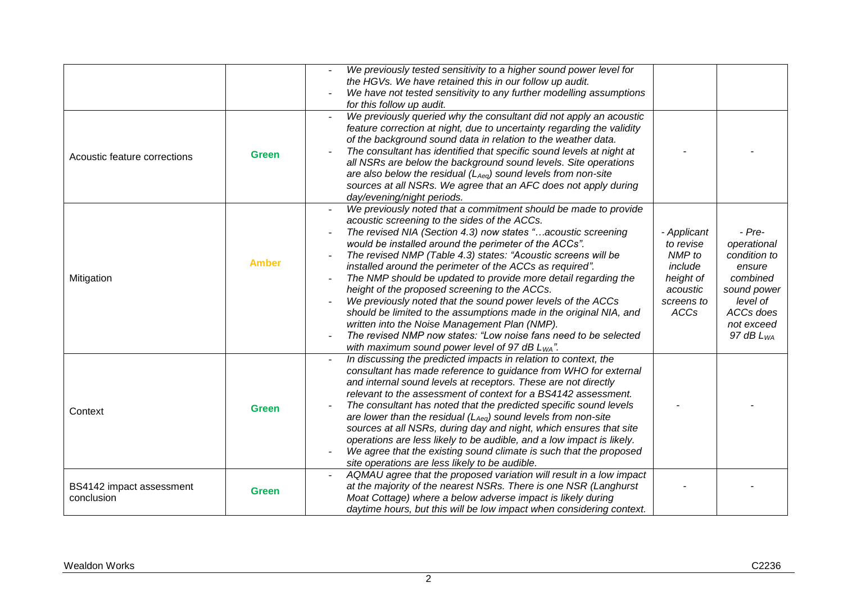|                                        |              | We previously tested sensitivity to a higher sound power level for<br>the HGVs. We have retained this in our follow up audit.<br>We have not tested sensitivity to any further modelling assumptions<br>for this follow up audit.                                                                                                                                                                                                                                                                                                                                                                                                                                                                                                                                                                               |                                                                                                     |                                                                                                                                       |
|----------------------------------------|--------------|-----------------------------------------------------------------------------------------------------------------------------------------------------------------------------------------------------------------------------------------------------------------------------------------------------------------------------------------------------------------------------------------------------------------------------------------------------------------------------------------------------------------------------------------------------------------------------------------------------------------------------------------------------------------------------------------------------------------------------------------------------------------------------------------------------------------|-----------------------------------------------------------------------------------------------------|---------------------------------------------------------------------------------------------------------------------------------------|
| Acoustic feature corrections           | <b>Green</b> | We previously queried why the consultant did not apply an acoustic<br>feature correction at night, due to uncertainty regarding the validity<br>of the background sound data in relation to the weather data.<br>The consultant has identified that specific sound levels at night at<br>all NSRs are below the background sound levels. Site operations<br>are also below the residual ( $L_{Aeq}$ ) sound levels from non-site<br>sources at all NSRs. We agree that an AFC does not apply during<br>day/evening/night periods.                                                                                                                                                                                                                                                                               |                                                                                                     |                                                                                                                                       |
| Mitigation                             | <b>Amber</b> | We previously noted that a commitment should be made to provide<br>acoustic screening to the sides of the ACCs.<br>The revised NIA (Section 4.3) now states "acoustic screening<br>would be installed around the perimeter of the ACCs".<br>The revised NMP (Table 4.3) states: "Acoustic screens will be<br>installed around the perimeter of the ACCs as required".<br>The NMP should be updated to provide more detail regarding the<br>height of the proposed screening to the ACCs.<br>We previously noted that the sound power levels of the ACCs<br>should be limited to the assumptions made in the original NIA, and<br>written into the Noise Management Plan (NMP).<br>The revised NMP now states: "Low noise fans need to be selected<br>with maximum sound power level of 97 dB L <sub>WA</sub> ". | - Applicant<br>to revise<br>NMP to<br>include<br>height of<br>acoustic<br>screens to<br><b>ACCs</b> | $- Pre-$<br>operational<br>condition to<br>ensure<br>combined<br>sound power<br>level of<br>ACCs does<br>not exceed<br>97 dB $L_{WA}$ |
| Context                                | <b>Green</b> | In discussing the predicted impacts in relation to context, the<br>consultant has made reference to guidance from WHO for external<br>and internal sound levels at receptors. These are not directly<br>relevant to the assessment of context for a BS4142 assessment.<br>The consultant has noted that the predicted specific sound levels<br>are lower than the residual ( $L_{Aeq}$ ) sound levels from non-site<br>sources at all NSRs, during day and night, which ensures that site<br>operations are less likely to be audible, and a low impact is likely.<br>We agree that the existing sound climate is such that the proposed<br>site operations are less likely to be audible.                                                                                                                      |                                                                                                     |                                                                                                                                       |
| BS4142 impact assessment<br>conclusion | <b>Green</b> | AQMAU agree that the proposed variation will result in a low impact<br>at the majority of the nearest NSRs. There is one NSR (Langhurst<br>Moat Cottage) where a below adverse impact is likely during<br>daytime hours, but this will be low impact when considering context.                                                                                                                                                                                                                                                                                                                                                                                                                                                                                                                                  |                                                                                                     |                                                                                                                                       |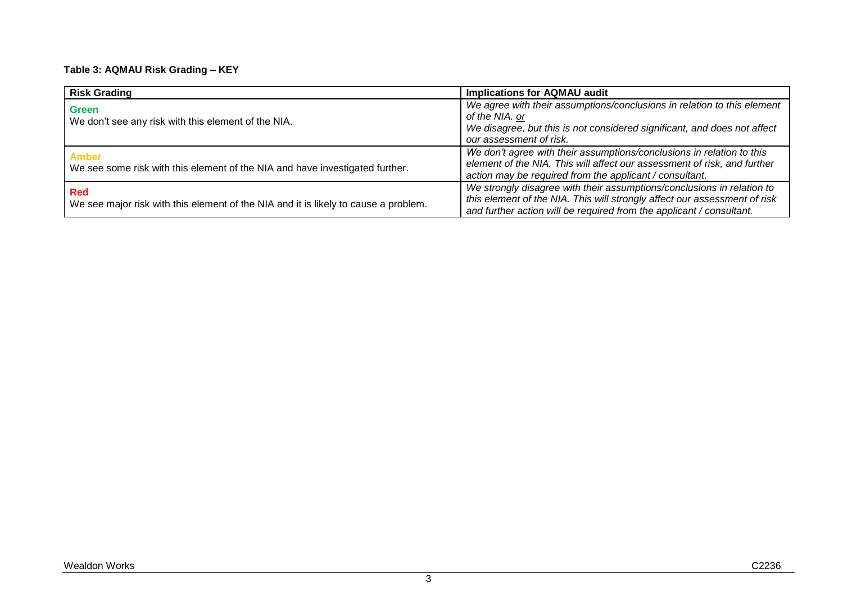#### **Table 3: AQMAU Risk Grading – KEY**

| <b>Risk Grading</b>                                                                               | <b>Implications for AQMAU audit</b>                                                                                                                                                                                         |  |
|---------------------------------------------------------------------------------------------------|-----------------------------------------------------------------------------------------------------------------------------------------------------------------------------------------------------------------------------|--|
| Green<br>We don't see any risk with this element of the NIA.                                      | We agree with their assumptions/conclusions in relation to this element<br>of the NIA. or<br>We disagree, but this is not considered significant, and does not affect<br>our assessment of risk.                            |  |
| <b>Amber</b><br>We see some risk with this element of the NIA and have investigated further.      | We don't agree with their assumptions/conclusions in relation to this<br>element of the NIA. This will affect our assessment of risk, and further<br>action may be required from the applicant / consultant.                |  |
| <b>Red</b><br>We see major risk with this element of the NIA and it is likely to cause a problem. | We strongly disagree with their assumptions/conclusions in relation to<br>this element of the NIA. This will strongly affect our assessment of risk<br>and further action will be required from the applicant / consultant. |  |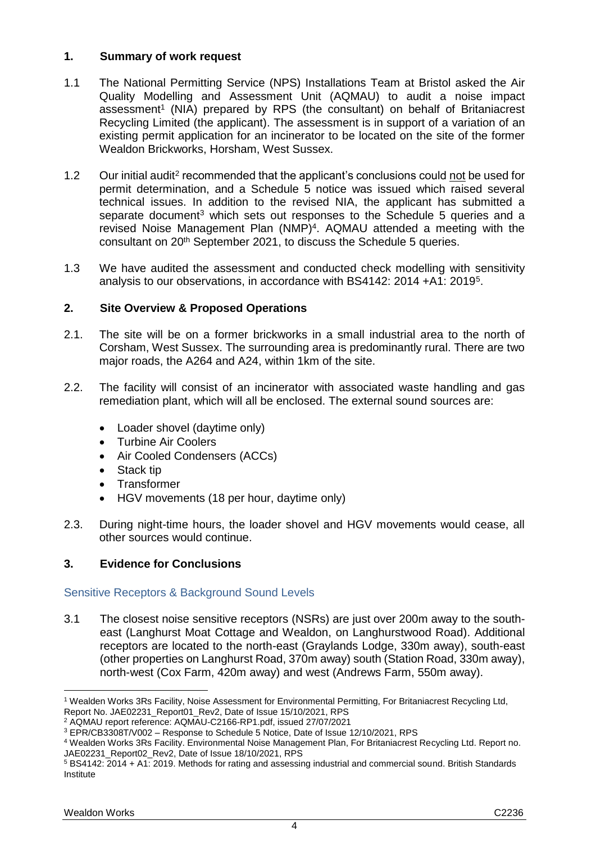## **1. Summary of work request**

- 1.1 The National Permitting Service (NPS) Installations Team at Bristol asked the Air Quality Modelling and Assessment Unit (AQMAU) to audit a noise impact assessment<sup>1</sup> (NIA) prepared by RPS (the consultant) on behalf of Britaniacrest Recycling Limited (the applicant). The assessment is in support of a variation of an existing permit application for an incinerator to be located on the site of the former Wealdon Brickworks, Horsham, West Sussex.
- 1.2 Our initial audit<sup>2</sup> recommended that the applicant's conclusions could not be used for permit determination, and a Schedule 5 notice was issued which raised several technical issues. In addition to the revised NIA, the applicant has submitted a separate document<sup>3</sup> which sets out responses to the Schedule 5 queries and a revised Noise Management Plan (NMP) 4 . AQMAU attended a meeting with the consultant on 20th September 2021, to discuss the Schedule 5 queries.
- 1.3 We have audited the assessment and conducted check modelling with sensitivity analysis to our observations, in accordance with BS4142: 2014 +A1: 2019<sup>5</sup> .

## **2. Site Overview & Proposed Operations**

- <span id="page-3-0"></span>2.1. The site will be on a former brickworks in a small industrial area to the north of Corsham, West Sussex. The surrounding area is predominantly rural. There are two major roads, the A264 and A24, within 1km of the site.
- 2.2. The facility will consist of an incinerator with associated waste handling and gas remediation plant, which will all be enclosed. The external sound sources are:
	- Loader shovel (daytime only)
	- Turbine Air Coolers
	- Air Cooled Condensers (ACCs)
	- Stack tip
	- **Transformer**
	- HGV movements (18 per hour, daytime only)
- 2.3. During night-time hours, the loader shovel and HGV movements would cease, all other sources would continue.

# **3. Evidence for Conclusions**

## Sensitive Receptors & Background Sound Levels

3.1 The closest noise sensitive receptors (NSRs) are just over 200m away to the southeast (Langhurst Moat Cottage and Wealdon, on Langhurstwood Road). Additional receptors are located to the north-east (Graylands Lodge, 330m away), south-east (other properties on Langhurst Road, 370m away) south (Station Road, 330m away), north-west (Cox Farm, 420m away) and west (Andrews Farm, 550m away).

 $\overline{a}$ <sup>1</sup> Wealden Works 3Rs Facility, Noise Assessment for Environmental Permitting, For Britaniacrest Recycling Ltd, Report No. JAE02231\_Report01\_Rev2, Date of Issue 15/10/2021, RPS

<sup>2</sup> AQMAU report reference: AQMAU-C2166-RP1.pdf, issued 27/07/2021

<sup>3</sup> EPR/CB3308T/V002 – Response to Schedule 5 Notice, Date of Issue 12/10/2021, RPS

<sup>4</sup> Wealden Works 3Rs Facility. Environmental Noise Management Plan, For Britaniacrest Recycling Ltd. Report no. JAE02231\_Report02\_Rev2, Date of Issue 18/10/2021, RPS

<sup>5</sup> BS4142: 2014 + A1: 2019. Methods for rating and assessing industrial and commercial sound. British Standards Institute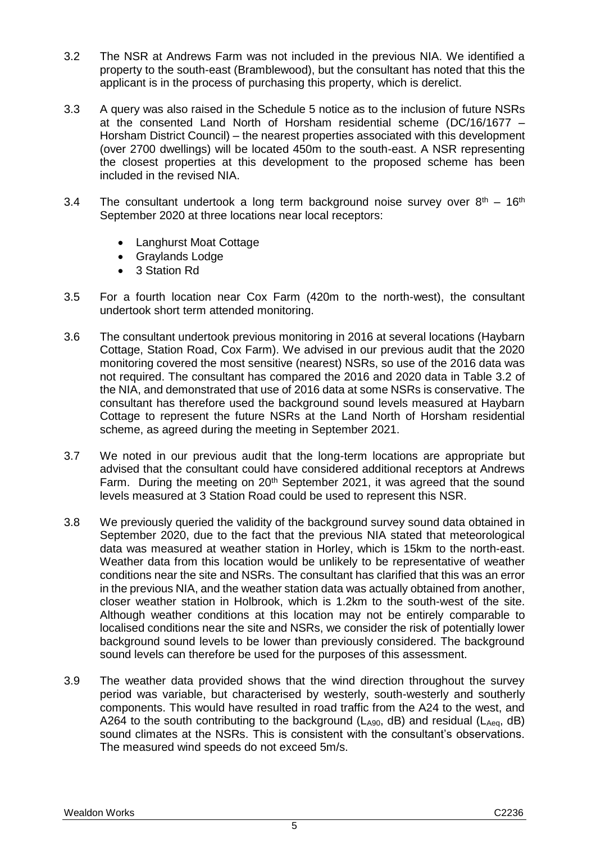- 3.2 The NSR at Andrews Farm was not included in the previous NIA. We identified a property to the south-east (Bramblewood), but the consultant has noted that this the applicant is in the process of purchasing this property, which is derelict.
- 3.3 A query was also raised in the Schedule 5 notice as to the inclusion of future NSRs at the consented Land North of Horsham residential scheme (DC/16/1677 – Horsham District Council) – the nearest properties associated with this development (over 2700 dwellings) will be located 450m to the south-east. A NSR representing the closest properties at this development to the proposed scheme has been included in the revised NIA.
- 3.4 The consultant undertook a long term background noise survey over  $8<sup>th</sup> 16<sup>th</sup>$ September 2020 at three locations near local receptors:
	- Langhurst Moat Cottage
	- Graylands Lodge
	- 3 Station Rd
- 3.5 For a fourth location near Cox Farm (420m to the north-west), the consultant undertook short term attended monitoring.
- 3.6 The consultant undertook previous monitoring in 2016 at several locations (Haybarn Cottage, Station Road, Cox Farm). We advised in our previous audit that the 2020 monitoring covered the most sensitive (nearest) NSRs, so use of the 2016 data was not required. The consultant has compared the 2016 and 2020 data in Table 3.2 of the NIA, and demonstrated that use of 2016 data at some NSRs is conservative. The consultant has therefore used the background sound levels measured at Haybarn Cottage to represent the future NSRs at the Land North of Horsham residential scheme, as agreed during the meeting in September 2021.
- 3.7 We noted in our previous audit that the long-term locations are appropriate but advised that the consultant could have considered additional receptors at Andrews Farm. During the meeting on 20<sup>th</sup> September 2021, it was agreed that the sound levels measured at 3 Station Road could be used to represent this NSR.
- 3.8 We previously queried the validity of the background survey sound data obtained in September 2020, due to the fact that the previous NIA stated that meteorological data was measured at weather station in Horley, which is 15km to the north-east. Weather data from this location would be unlikely to be representative of weather conditions near the site and NSRs. The consultant has clarified that this was an error in the previous NIA, and the weather station data was actually obtained from another, closer weather station in Holbrook, which is 1.2km to the south-west of the site. Although weather conditions at this location may not be entirely comparable to localised conditions near the site and NSRs, we consider the risk of potentially lower background sound levels to be lower than previously considered. The background sound levels can therefore be used for the purposes of this assessment.
- 3.9 The weather data provided shows that the wind direction throughout the survey period was variable, but characterised by westerly, south-westerly and southerly components. This would have resulted in road traffic from the A24 to the west, and A264 to the south contributing to the background ( $L_{A90}$ , dB) and residual ( $L_{Aeq}$ , dB) sound climates at the NSRs. This is consistent with the consultant's observations. The measured wind speeds do not exceed 5m/s.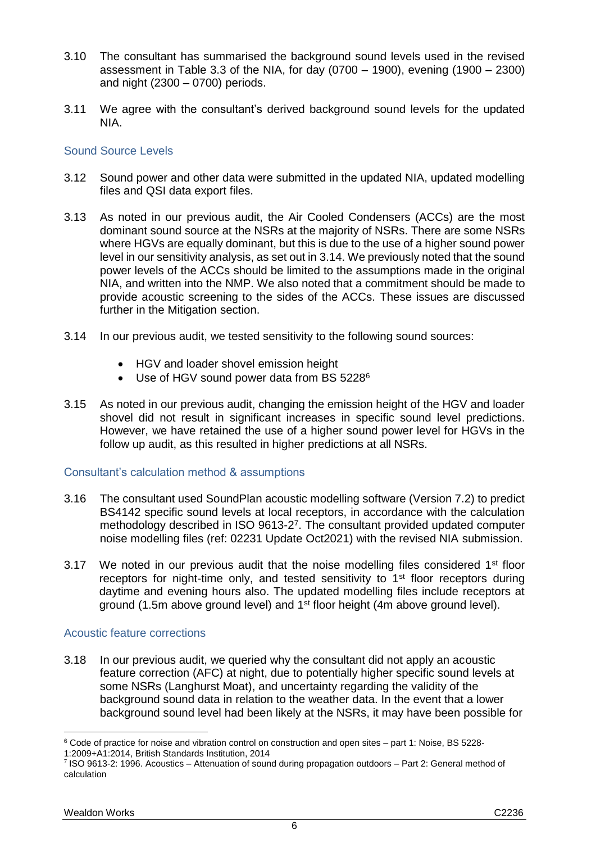- <span id="page-5-0"></span>3.10 The consultant has summarised the background sound levels used in the revised assessment in Table 3.3 of the NIA, for day  $(0700 - 1900)$ , evening  $(1900 - 2300)$ and night (2300 – 0700) periods.
- 3.11 We agree with the consultant's derived background sound levels for the updated NIA.

### Sound Source Levels

- 3.12 Sound power and other data were submitted in the updated NIA, updated modelling files and QSI data export files.
- <span id="page-5-1"></span>3.13 As noted in our previous audit, the Air Cooled Condensers (ACCs) are the most dominant sound source at the NSRs at the majority of NSRs. There are some NSRs where HGVs are equally dominant, but this is due to the use of a higher sound power level in our sensitivity analysis, as set out in [3.14.](#page-5-3) We previously noted that the sound power levels of the ACCs should be limited to the assumptions made in the original NIA, and written into the NMP. We also noted that a commitment should be made to provide acoustic screening to the sides of the ACCs. These issues are discussed further in the [Mitigation](#page-6-2) section.
- <span id="page-5-3"></span>3.14 In our previous audit, we tested sensitivity to the following sound sources:
	- HGV and loader shovel emission height
	- Use of HGV sound power data from BS 52286
- <span id="page-5-2"></span>3.15 As noted in our previous audit, changing the emission height of the HGV and loader shovel did not result in significant increases in specific sound level predictions. However, we have retained the use of a higher sound power level for HGVs in the follow up audit, as this resulted in higher predictions at all NSRs.

### Consultant's calculation method & assumptions

- 3.16 The consultant used SoundPlan acoustic modelling software (Version 7.2) to predict BS4142 specific sound levels at local receptors, in accordance with the calculation methodology described in ISO 9613-2 7 . The consultant provided updated computer noise modelling files (ref: 02231 Update Oct2021) with the revised NIA submission.
- 3.17 We noted in our previous audit that the noise modelling files considered  $1<sup>st</sup>$  floor receptors for night-time only, and tested sensitivity to 1<sup>st</sup> floor receptors during daytime and evening hours also. The updated modelling files include receptors at ground (1.5m above ground level) and 1<sup>st</sup> floor height (4m above ground level).

### Acoustic feature corrections

3.18 In our previous audit, we queried why the consultant did not apply an acoustic feature correction (AFC) at night, due to potentially higher specific sound levels at some NSRs (Langhurst Moat), and uncertainty regarding the validity of the background sound data in relation to the weather data. In the event that a lower background sound level had been likely at the NSRs, it may have been possible for

 $\overline{a}$ 

<sup>6</sup> Code of practice for noise and vibration control on construction and open sites – part 1: Noise, BS 5228-

<sup>1:2009+</sup>A1:2014, British Standards Institution, 2014

<sup>7</sup> ISO 9613-2: 1996. Acoustics – Attenuation of sound during propagation outdoors – Part 2: General method of calculation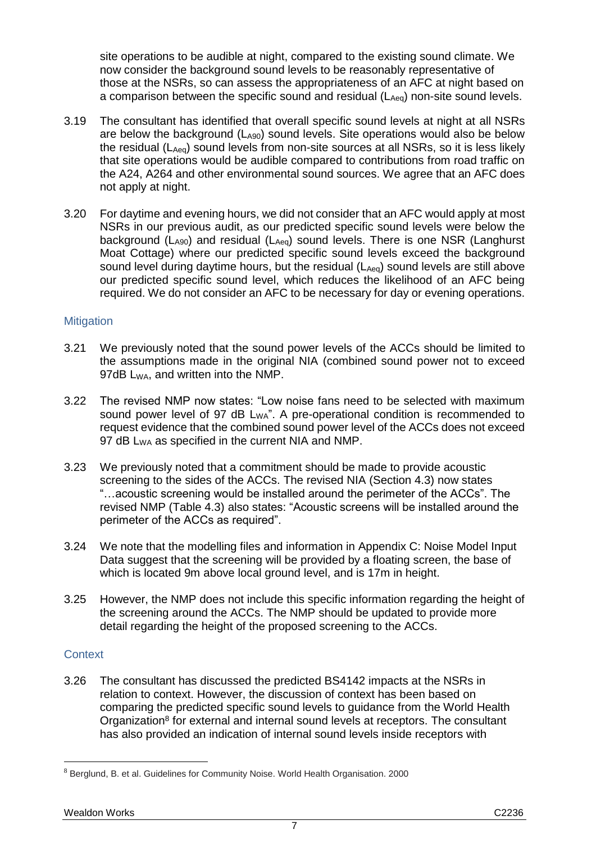<span id="page-6-0"></span>site operations to be audible at night, compared to the existing sound climate. We now consider the background sound levels to be reasonably representative of those at the NSRs, so can assess the appropriateness of an AFC at night based on a comparison between the specific sound and residual (LAeq) non-site sound levels.

- 3.19 The consultant has identified that overall specific sound levels at night at all NSRs are below the background  $(L<sub>AG0</sub>)$  sound levels. Site operations would also be below the residual ( $L_{Aeq}$ ) sound levels from non-site sources at all NSRs, so it is less likely that site operations would be audible compared to contributions from road traffic on the A24, A264 and other environmental sound sources. We agree that an AFC does not apply at night.
- 3.20 For daytime and evening hours, we did not consider that an AFC would apply at most NSRs in our previous audit, as our predicted specific sound levels were below the background ( $L_{A90}$ ) and residual ( $L_{Aeq}$ ) sound levels. There is one NSR (Langhurst Moat Cottage) where our predicted specific sound levels exceed the background sound level during daytime hours, but the residual  $(L_{Aeq})$  sound levels are still above our predicted specific sound level, which reduces the likelihood of an AFC being required. We do not consider an AFC to be necessary for day or evening operations.

### <span id="page-6-2"></span>**Mitigation**

- 3.21 We previously noted that the sound power levels of the ACCs should be limited to the assumptions made in the original NIA (combined sound power not to exceed 97dB L<sub>WA</sub>, and written into the NMP.
- <span id="page-6-1"></span>3.22 The revised NMP now states: "Low noise fans need to be selected with maximum sound power level of 97 dB  $L_{WA}$ ". A pre-operational condition is recommended to request evidence that the combined sound power level of the ACCs does not exceed 97 dB L<sub>WA</sub> as specified in the current NIA and NMP.
- 3.23 We previously noted that a commitment should be made to provide acoustic screening to the sides of the ACCs. The revised NIA (Section 4.3) now states "…acoustic screening would be installed around the perimeter of the ACCs". The revised NMP (Table 4.3) also states: "Acoustic screens will be installed around the perimeter of the ACCs as required".
- 3.24 We note that the modelling files and information in Appendix C: Noise Model Input Data suggest that the screening will be provided by a floating screen, the base of which is located 9m above local ground level, and is 17m in height.
- 3.25 However, the NMP does not include this specific information regarding the height of the screening around the ACCs. The NMP should be updated to provide more detail regarding the height of the proposed screening to the ACCs.

## **Context**

 $\overline{a}$ 

3.26 The consultant has discussed the predicted BS4142 impacts at the NSRs in relation to context. However, the discussion of context has been based on comparing the predicted specific sound levels to guidance from the World Health Organization<sup>8</sup> for external and internal sound levels at receptors. The consultant has also provided an indication of internal sound levels inside receptors with

<sup>8</sup> Berglund, B. et al. Guidelines for Community Noise. World Health Organisation. 2000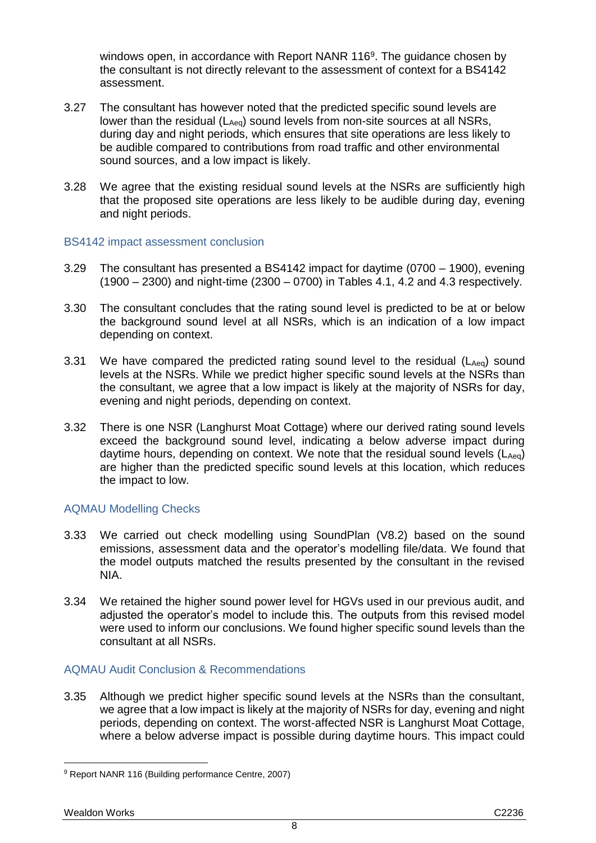<span id="page-7-0"></span>windows open, in accordance with Report NANR 116<sup>9</sup>. The guidance chosen by the consultant is not directly relevant to the assessment of context for a BS4142 assessment.

- 3.27 The consultant has however noted that the predicted specific sound levels are lower than the residual (LAeq) sound levels from non-site sources at all NSRs, during day and night periods, which ensures that site operations are less likely to be audible compared to contributions from road traffic and other environmental sound sources, and a low impact is likely.
- 3.28 We agree that the existing residual sound levels at the NSRs are sufficiently high that the proposed site operations are less likely to be audible during day, evening and night periods.

### BS4142 impact assessment conclusion

- 3.29 The consultant has presented a BS4142 impact for daytime (0700 1900), evening (1900 – 2300) and night-time (2300 – 0700) in Tables 4.1, 4.2 and 4.3 respectively.
- 3.30 The consultant concludes that the rating sound level is predicted to be at or below the background sound level at all NSRs, which is an indication of a low impact depending on context.
- 3.31 We have compared the predicted rating sound level to the residual ( $L_{Aeq}$ ) sound levels at the NSRs. While we predict higher specific sound levels at the NSRs than the consultant, we agree that a low impact is likely at the majority of NSRs for day, evening and night periods, depending on context.
- 3.32 There is one NSR (Langhurst Moat Cottage) where our deriv*e*d rating sound levels exceed the background sound level, indicating a below adverse impact during daytime hours, depending on context. We note that the residual sound levels  $(L_{Aeq})$ are higher than the predicted specific sound levels at this location, which reduces the impact to low.

## AQMAU Modelling Checks

- 3.33 We carried out check modelling using SoundPlan (V8.2) based on the sound emissions, assessment data and the operator's modelling file/data. We found that the model outputs matched the results presented by the consultant in the revised NIA.
- 3.34 We retained the higher sound power level for HGVs used in our previous audit, and adjusted the operator's model to include this. The outputs from this revised model were used to inform our conclusions. We found higher specific sound levels than the consultant at all NSRs.

### AQMAU Audit Conclusion & Recommendations

3.35 Although we predict higher specific sound levels at the NSRs than the consultant, we agree that a low impact is likely at the majority of NSRs for day, evening and night periods, depending on context. The worst-affected NSR is Langhurst Moat Cottage, where a below adverse impact is possible during daytime hours. This impact could

 <sup>9</sup> Report NANR 116 (Building performance Centre, 2007)